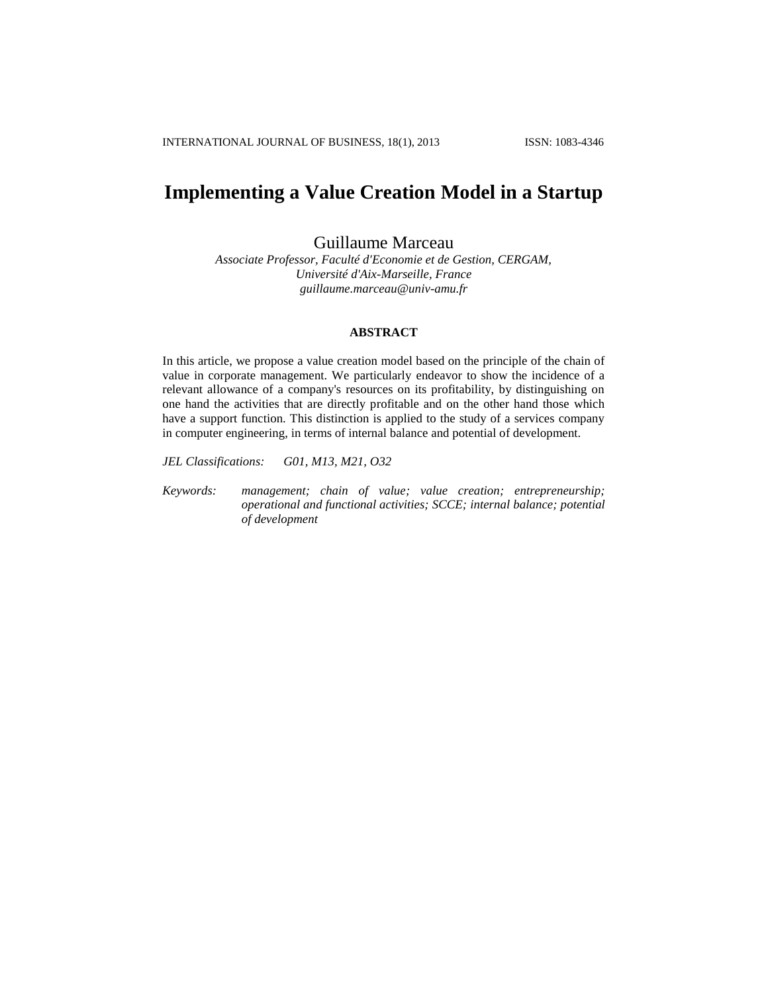# **Implementing a Value Creation Model in a Startup**

Guillaume Marceau

*Associate Professor, Faculté d'Economie et de Gestion, CERGAM, Université d'Aix-Marseille, France guillaume.marceau@univ-amu.fr*

# **ABSTRACT**

In this article, we propose a value creation model based on the principle of the chain of value in corporate management. We particularly endeavor to show the incidence of a relevant allowance of a company's resources on its profitability, by distinguishing on one hand the activities that are directly profitable and on the other hand those which have a support function. This distinction is applied to the study of a services company in computer engineering, in terms of internal balance and potential of development.

*JEL Classifications: G01, M13, M21, O32*

*Keywords: management; chain of value; value creation; entrepreneurship; operational and functional activities; SCCE; internal balance; potential of development*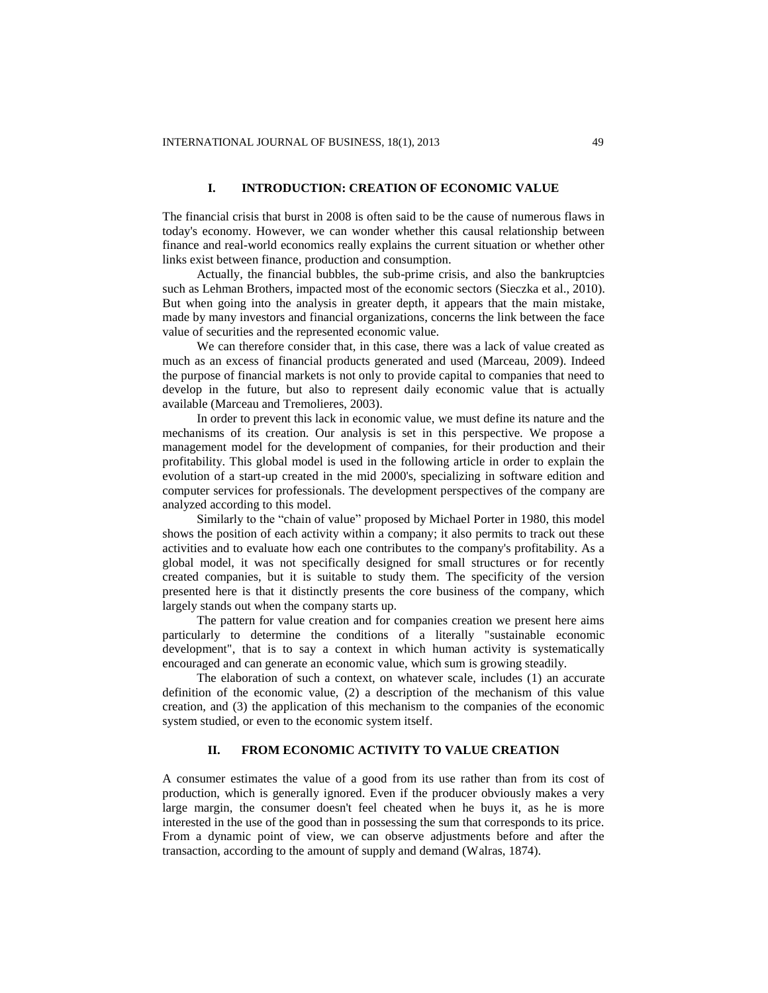## **I. INTRODUCTION: CREATION OF ECONOMIC VALUE**

The financial crisis that burst in 2008 is often said to be the cause of numerous flaws in today's economy. However, we can wonder whether this causal relationship between finance and real-world economics really explains the current situation or whether other links exist between finance, production and consumption.

Actually, the financial bubbles, the sub-prime crisis, and also the bankruptcies such as Lehman Brothers, impacted most of the economic sectors (Sieczka et al., 2010). But when going into the analysis in greater depth, it appears that the main mistake, made by many investors and financial organizations, concerns the link between the face value of securities and the represented economic value.

We can therefore consider that, in this case, there was a lack of value created as much as an excess of financial products generated and used (Marceau, 2009). Indeed the purpose of financial markets is not only to provide capital to companies that need to develop in the future, but also to represent daily economic value that is actually available (Marceau and Tremolieres, 2003).

In order to prevent this lack in economic value, we must define its nature and the mechanisms of its creation. Our analysis is set in this perspective. We propose a management model for the development of companies, for their production and their profitability. This global model is used in the following article in order to explain the evolution of a start-up created in the mid 2000's, specializing in software edition and computer services for professionals. The development perspectives of the company are analyzed according to this model.

Similarly to the "chain of value" proposed by Michael Porter in 1980, this model shows the position of each activity within a company; it also permits to track out these activities and to evaluate how each one contributes to the company's profitability. As a global model, it was not specifically designed for small structures or for recently created companies, but it is suitable to study them. The specificity of the version presented here is that it distinctly presents the core business of the company, which largely stands out when the company starts up.

The pattern for value creation and for companies creation we present here aims particularly to determine the conditions of a literally "sustainable economic development", that is to say a context in which human activity is systematically encouraged and can generate an economic value, which sum is growing steadily.

The elaboration of such a context, on whatever scale, includes (1) an accurate definition of the economic value, (2) a description of the mechanism of this value creation, and (3) the application of this mechanism to the companies of the economic system studied, or even to the economic system itself.

### **II. FROM ECONOMIC ACTIVITY TO VALUE CREATION**

A consumer estimates the value of a good from its use rather than from its cost of production, which is generally ignored. Even if the producer obviously makes a very large margin, the consumer doesn't feel cheated when he buys it, as he is more interested in the use of the good than in possessing the sum that corresponds to its price. From a dynamic point of view, we can observe adjustments before and after the transaction, according to the amount of supply and demand (Walras, 1874).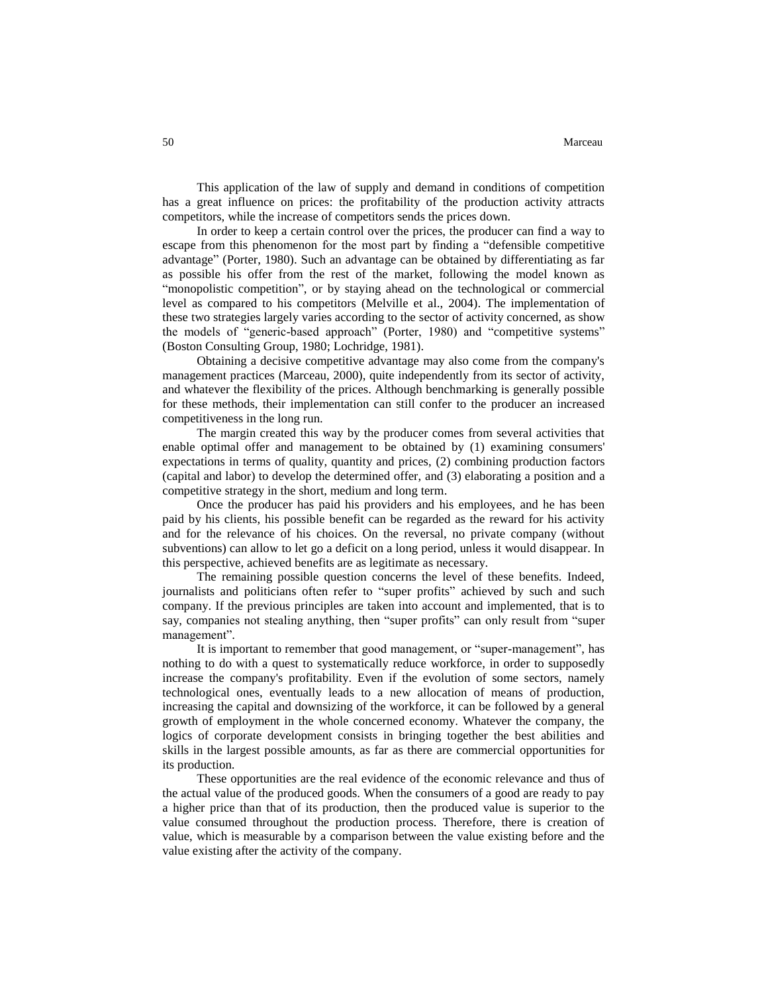This application of the law of supply and demand in conditions of competition has a great influence on prices: the profitability of the production activity attracts competitors, while the increase of competitors sends the prices down.

In order to keep a certain control over the prices, the producer can find a way to escape from this phenomenon for the most part by finding a "defensible competitive advantage" (Porter, 1980). Such an advantage can be obtained by differentiating as far as possible his offer from the rest of the market, following the model known as "monopolistic competition", or by staying ahead on the technological or commercial level as compared to his competitors (Melville et al., 2004). The implementation of these two strategies largely varies according to the sector of activity concerned, as show the models of "generic-based approach" (Porter, 1980) and "competitive systems" (Boston Consulting Group, 1980; Lochridge, 1981).

Obtaining a decisive competitive advantage may also come from the company's management practices (Marceau, 2000), quite independently from its sector of activity, and whatever the flexibility of the prices. Although benchmarking is generally possible for these methods, their implementation can still confer to the producer an increased competitiveness in the long run.

The margin created this way by the producer comes from several activities that enable optimal offer and management to be obtained by (1) examining consumers' expectations in terms of quality, quantity and prices, (2) combining production factors (capital and labor) to develop the determined offer, and (3) elaborating a position and a competitive strategy in the short, medium and long term.

Once the producer has paid his providers and his employees, and he has been paid by his clients, his possible benefit can be regarded as the reward for his activity and for the relevance of his choices. On the reversal, no private company (without subventions) can allow to let go a deficit on a long period, unless it would disappear. In this perspective, achieved benefits are as legitimate as necessary.

The remaining possible question concerns the level of these benefits. Indeed, journalists and politicians often refer to "super profits" achieved by such and such company. If the previous principles are taken into account and implemented, that is to say, companies not stealing anything, then "super profits" can only result from "super management".

It is important to remember that good management, or "super-management", has nothing to do with a quest to systematically reduce workforce, in order to supposedly increase the company's profitability. Even if the evolution of some sectors, namely technological ones, eventually leads to a new allocation of means of production, increasing the capital and downsizing of the workforce, it can be followed by a general growth of employment in the whole concerned economy. Whatever the company, the logics of corporate development consists in bringing together the best abilities and skills in the largest possible amounts, as far as there are commercial opportunities for its production.

These opportunities are the real evidence of the economic relevance and thus of the actual value of the produced goods. When the consumers of a good are ready to pay a higher price than that of its production, then the produced value is superior to the value consumed throughout the production process. Therefore, there is creation of value, which is measurable by a comparison between the value existing before and the value existing after the activity of the company.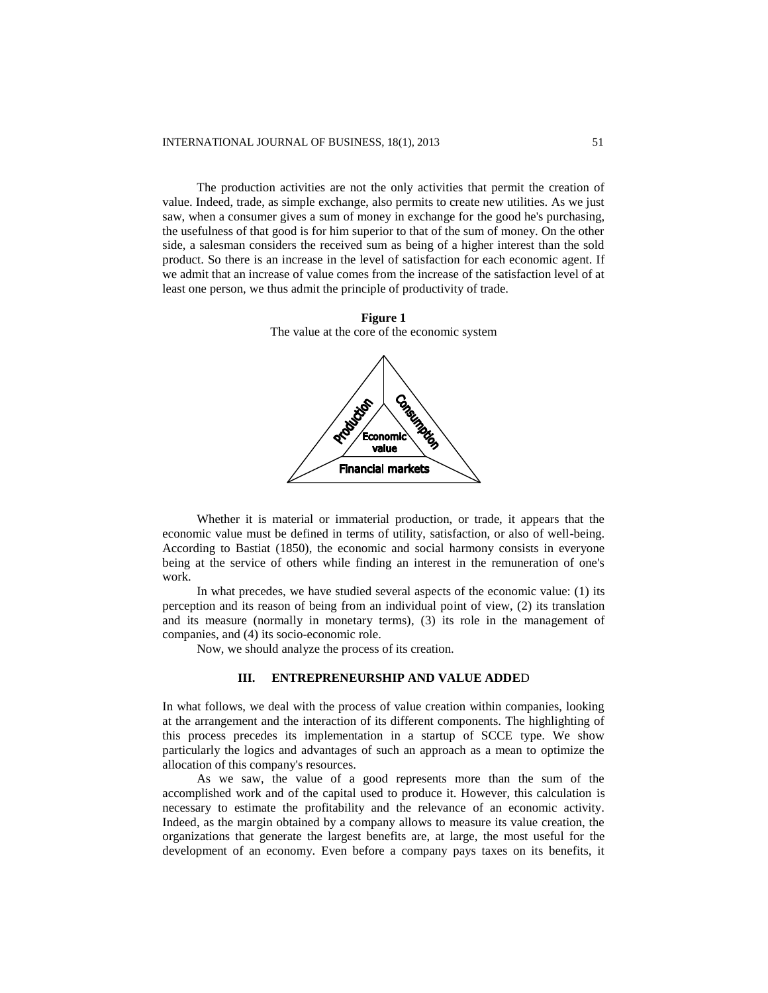The production activities are not the only activities that permit the creation of value. Indeed, trade, as simple exchange, also permits to create new utilities. As we just saw, when a consumer gives a sum of money in exchange for the good he's purchasing, the usefulness of that good is for him superior to that of the sum of money. On the other side, a salesman considers the received sum as being of a higher interest than the sold product. So there is an increase in the level of satisfaction for each economic agent. If we admit that an increase of value comes from the increase of the satisfaction level of at least one person, we thus admit the principle of productivity of trade.





Whether it is material or immaterial production, or trade, it appears that the economic value must be defined in terms of utility, satisfaction, or also of well-being. According to Bastiat (1850), the economic and social harmony consists in everyone being at the service of others while finding an interest in the remuneration of one's work.

In what precedes, we have studied several aspects of the economic value: (1) its perception and its reason of being from an individual point of view, (2) its translation and its measure (normally in monetary terms), (3) its role in the management of companies, and (4) its socio-economic role.

Now, we should analyze the process of its creation.

# **III. ENTREPRENEURSHIP AND VALUE ADDE**D

In what follows, we deal with the process of value creation within companies, looking at the arrangement and the interaction of its different components. The highlighting of this process precedes its implementation in a startup of SCCE type. We show particularly the logics and advantages of such an approach as a mean to optimize the allocation of this company's resources.

As we saw, the value of a good represents more than the sum of the accomplished work and of the capital used to produce it. However, this calculation is necessary to estimate the profitability and the relevance of an economic activity. Indeed, as the margin obtained by a company allows to measure its value creation, the organizations that generate the largest benefits are, at large, the most useful for the development of an economy. Even before a company pays taxes on its benefits, it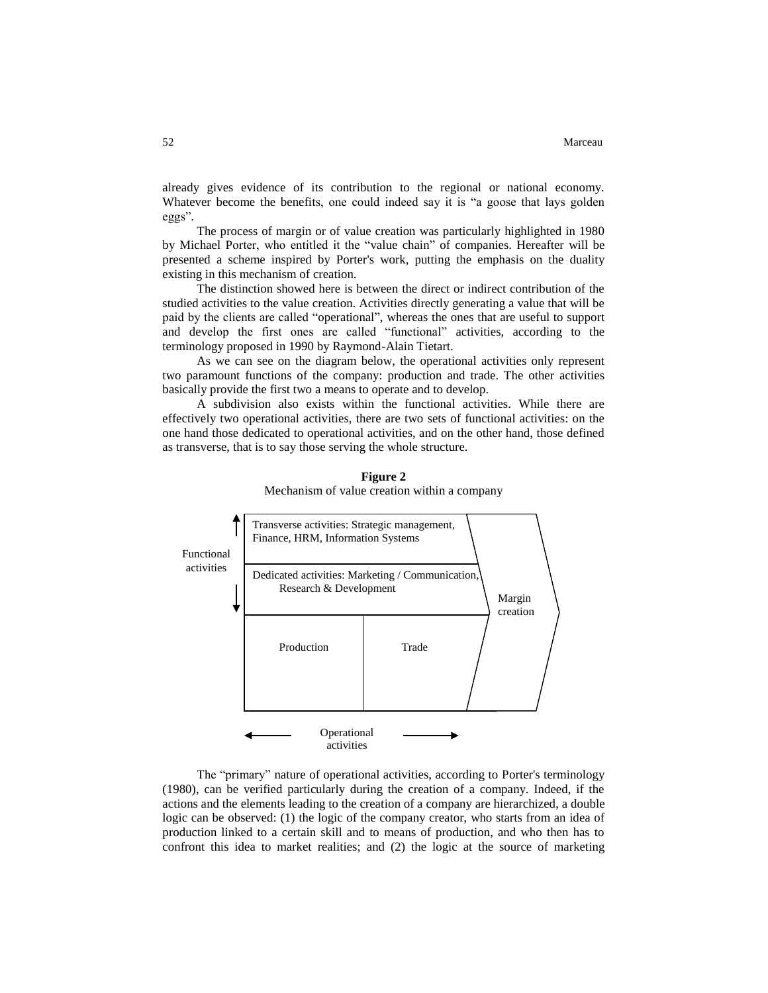already gives evidence of its contribution to the regional or national economy. Whatever become the benefits, one could indeed say it is "a goose that lays golden eggs".

The process of margin or of value creation was particularly highlighted in 1980 by Michael Porter, who entitled it the "value chain" of companies. Hereafter will be presented a scheme inspired by Porter's work, putting the emphasis on the duality existing in this mechanism of creation.

The distinction showed here is between the direct or indirect contribution of the studied activities to the value creation. Activities directly generating a value that will be paid by the clients are called "operational", whereas the ones that are useful to support and develop the first ones are called "functional" activities, according to the terminology proposed in 1990 by Raymond-Alain Tietart.

As we can see on the diagram below, the operational activities only represent two paramount functions of the company: production and trade. The other activities basically provide the first two a means to operate and to develop.

A subdivision also exists within the functional activities. While there are effectively two operational activities, there are two sets of functional activities: on the one hand those dedicated to operational activities, and on the other hand, those defined as transverse, that is to say those serving the whole structure.



**Figure 2** Mechanism of value creation within a company

The "primary" nature of operational activities, according to Porter's terminology (1980), can be verified particularly during the creation of a company. Indeed, if the actions and the elements leading to the creation of a company are hierarchized, a double logic can be observed: (1) the logic of the company creator, who starts from an idea of production linked to a certain skill and to means of production, and who then has to confront this idea to market realities; and (2) the logic at the source of marketing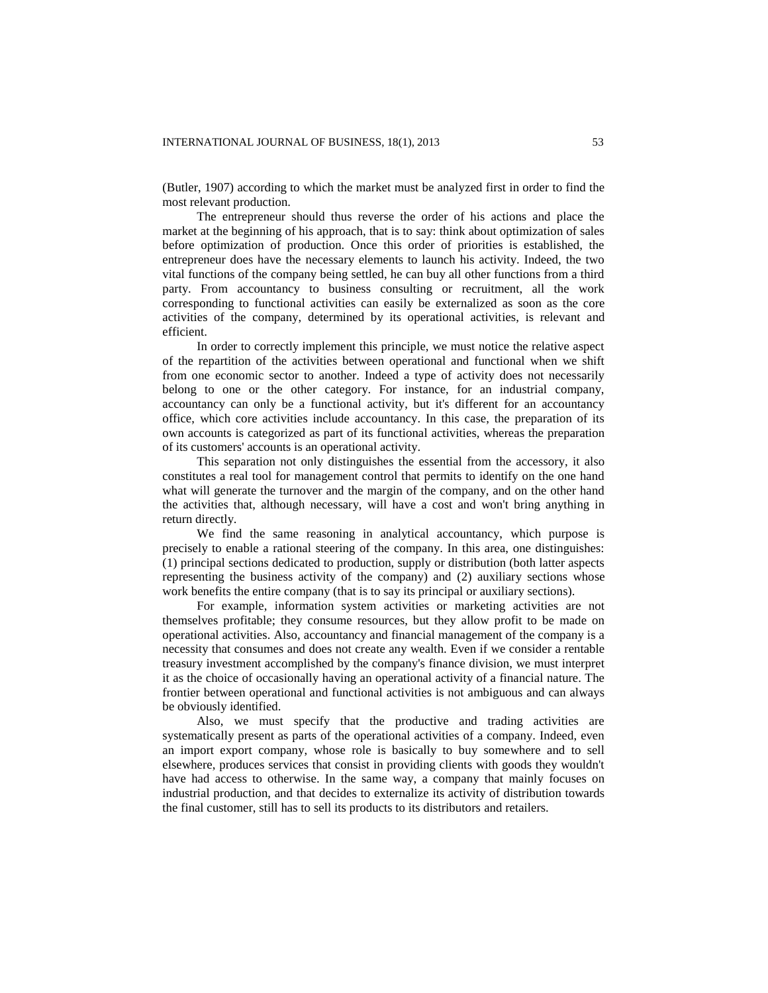(Butler, 1907) according to which the market must be analyzed first in order to find the most relevant production.

The entrepreneur should thus reverse the order of his actions and place the market at the beginning of his approach, that is to say: think about optimization of sales before optimization of production. Once this order of priorities is established, the entrepreneur does have the necessary elements to launch his activity. Indeed, the two vital functions of the company being settled, he can buy all other functions from a third party. From accountancy to business consulting or recruitment, all the work corresponding to functional activities can easily be externalized as soon as the core activities of the company, determined by its operational activities, is relevant and efficient.

In order to correctly implement this principle, we must notice the relative aspect of the repartition of the activities between operational and functional when we shift from one economic sector to another. Indeed a type of activity does not necessarily belong to one or the other category. For instance, for an industrial company, accountancy can only be a functional activity, but it's different for an accountancy office, which core activities include accountancy. In this case, the preparation of its own accounts is categorized as part of its functional activities, whereas the preparation of its customers' accounts is an operational activity.

This separation not only distinguishes the essential from the accessory, it also constitutes a real tool for management control that permits to identify on the one hand what will generate the turnover and the margin of the company, and on the other hand the activities that, although necessary, will have a cost and won't bring anything in return directly.

We find the same reasoning in analytical accountancy, which purpose is precisely to enable a rational steering of the company. In this area, one distinguishes: (1) principal sections dedicated to production, supply or distribution (both latter aspects representing the business activity of the company) and (2) auxiliary sections whose work benefits the entire company (that is to say its principal or auxiliary sections).

For example, information system activities or marketing activities are not themselves profitable; they consume resources, but they allow profit to be made on operational activities. Also, accountancy and financial management of the company is a necessity that consumes and does not create any wealth. Even if we consider a rentable treasury investment accomplished by the company's finance division, we must interpret it as the choice of occasionally having an operational activity of a financial nature. The frontier between operational and functional activities is not ambiguous and can always be obviously identified.

Also, we must specify that the productive and trading activities are systematically present as parts of the operational activities of a company. Indeed, even an import export company, whose role is basically to buy somewhere and to sell elsewhere, produces services that consist in providing clients with goods they wouldn't have had access to otherwise. In the same way, a company that mainly focuses on industrial production, and that decides to externalize its activity of distribution towards the final customer, still has to sell its products to its distributors and retailers.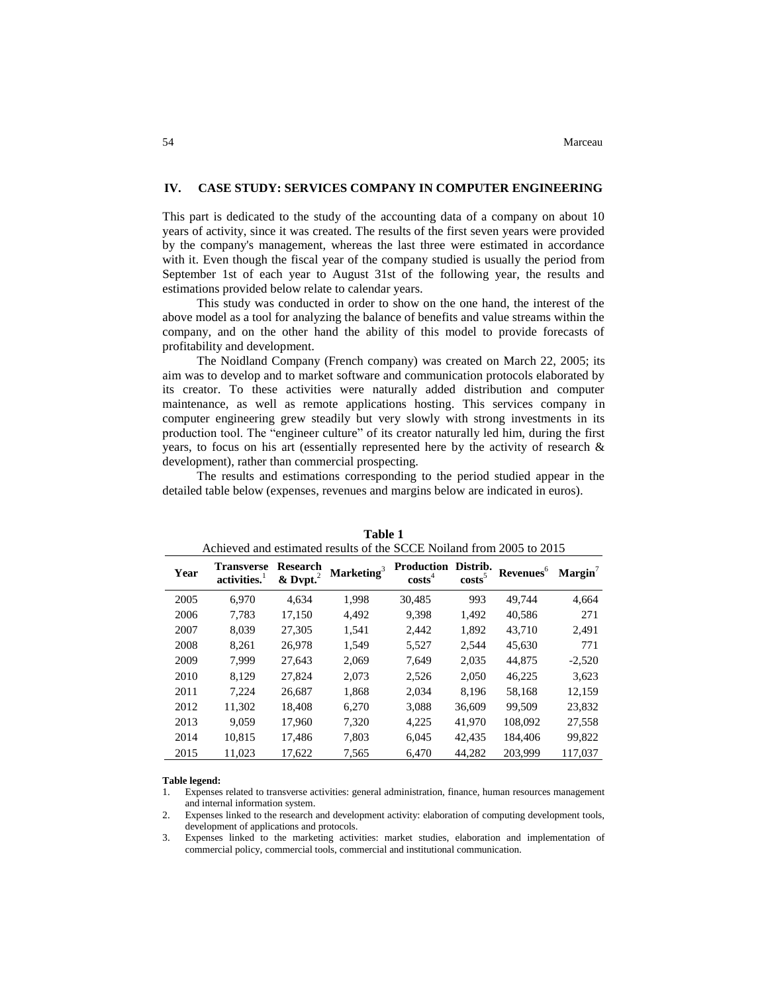# **IV. CASE STUDY: SERVICES COMPANY IN COMPUTER ENGINEERING**

This part is dedicated to the study of the accounting data of a company on about 10 years of activity, since it was created. The results of the first seven years were provided by the company's management, whereas the last three were estimated in accordance with it. Even though the fiscal year of the company studied is usually the period from September 1st of each year to August 31st of the following year, the results and estimations provided below relate to calendar years.

This study was conducted in order to show on the one hand, the interest of the above model as a tool for analyzing the balance of benefits and value streams within the company, and on the other hand the ability of this model to provide forecasts of profitability and development.

The Noidland Company (French company) was created on March 22, 2005; its aim was to develop and to market software and communication protocols elaborated by its creator. To these activities were naturally added distribution and computer maintenance, as well as remote applications hosting. This services company in computer engineering grew steadily but very slowly with strong investments in its production tool. The "engineer culture" of its creator naturally led him, during the first years, to focus on his art (essentially represented here by the activity of research & development), rather than commercial prospecting.

The results and estimations corresponding to the period studied appear in the detailed table below (expenses, revenues and margins below are indicated in euros).

| Achieved and estimated results of the SCCE Noiland from 2005 to 2015 |                                               |                                     |               |                                         |                       |                       |           |  |  |  |
|----------------------------------------------------------------------|-----------------------------------------------|-------------------------------------|---------------|-----------------------------------------|-----------------------|-----------------------|-----------|--|--|--|
| Year                                                                 | <b>Transverse</b><br>activities. <sup>1</sup> | <b>Research</b><br>$&$ Dvpt. $^{2}$ | Marketing $3$ | <b>Production</b><br>costs <sup>4</sup> | Distrib.<br>$costs^5$ | Revenues <sup>6</sup> | $Margin7$ |  |  |  |
| 2005                                                                 | 6.970                                         | 4.634                               | 1.998         | 30,485                                  | 993                   | 49.744                | 4,664     |  |  |  |
| 2006                                                                 | 7.783                                         | 17,150                              | 4.492         | 9.398                                   | 1,492                 | 40,586                | 271       |  |  |  |
| 2007                                                                 | 8,039                                         | 27,305                              | 1,541         | 2,442                                   | 1,892                 | 43,710                | 2,491     |  |  |  |
| 2008                                                                 | 8.261                                         | 26.978                              | 1.549         | 5,527                                   | 2,544                 | 45.630                | 771       |  |  |  |
| 2009                                                                 | 7.999                                         | 27.643                              | 2.069         | 7.649                                   | 2.035                 | 44,875                | $-2,520$  |  |  |  |
| 2010                                                                 | 8.129                                         | 27,824                              | 2,073         | 2,526                                   | 2,050                 | 46,225                | 3,623     |  |  |  |
| 2011                                                                 | 7.224                                         | 26,687                              | 1,868         | 2,034                                   | 8,196                 | 58,168                | 12,159    |  |  |  |
| 2012                                                                 | 11.302                                        | 18.408                              | 6.270         | 3,088                                   | 36,609                | 99.509                | 23,832    |  |  |  |
| 2013                                                                 | 9.059                                         | 17,960                              | 7,320         | 4,225                                   | 41,970                | 108,092               | 27,558    |  |  |  |
| 2014                                                                 | 10.815                                        | 17.486                              | 7.803         | 6.045                                   | 42.435                | 184,406               | 99.822    |  |  |  |
| 2015                                                                 | 11,023                                        | 17,622                              | 7,565         | 6.470                                   | 44.282                | 203.999               | 117,037   |  |  |  |

**Table 1**

#### **Table legend:**

1. Expenses related to transverse activities: general administration, finance, human resources management and internal information system.

2. Expenses linked to the research and development activity: elaboration of computing development tools, development of applications and protocols.

3. Expenses linked to the marketing activities: market studies, elaboration and implementation of commercial policy, commercial tools, commercial and institutional communication.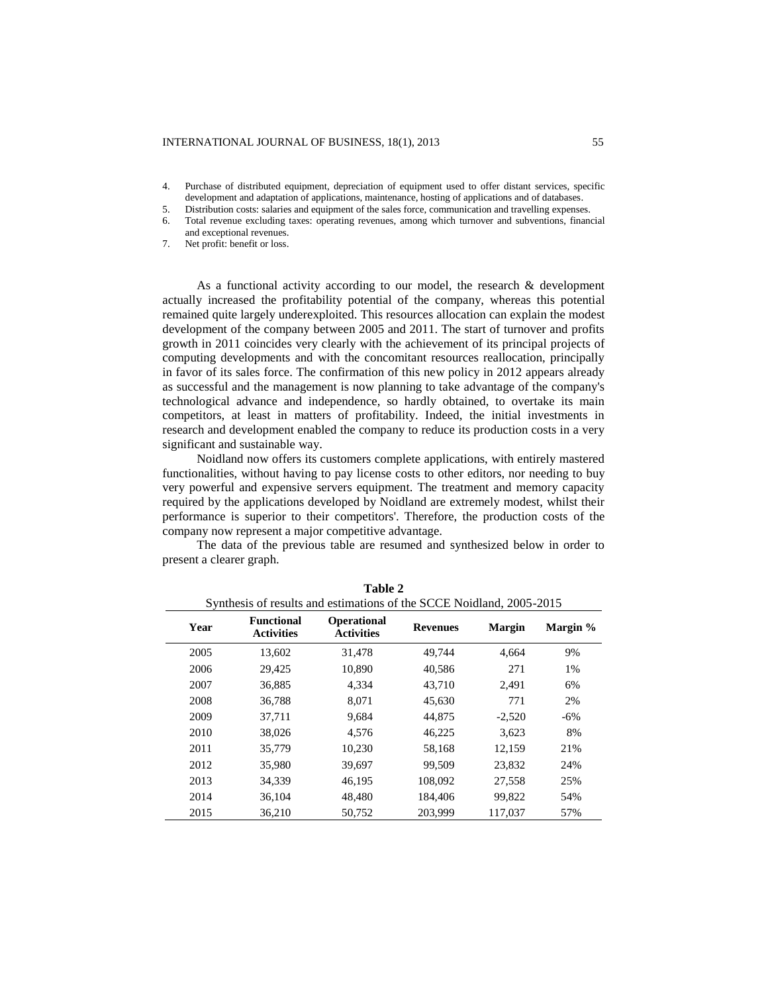- 4. Purchase of distributed equipment, depreciation of equipment used to offer distant services, specific development and adaptation of applications, maintenance, hosting of applications and of databases.
- 5. Distribution costs: salaries and equipment of the sales force, communication and travelling expenses.
- 6. Total revenue excluding taxes: operating revenues, among which turnover and subventions, financial and exceptional revenues.
- 7. Net profit: benefit or loss.

As a functional activity according to our model, the research & development actually increased the profitability potential of the company, whereas this potential remained quite largely underexploited. This resources allocation can explain the modest development of the company between 2005 and 2011. The start of turnover and profits growth in 2011 coincides very clearly with the achievement of its principal projects of computing developments and with the concomitant resources reallocation, principally in favor of its sales force. The confirmation of this new policy in 2012 appears already as successful and the management is now planning to take advantage of the company's technological advance and independence, so hardly obtained, to overtake its main competitors, at least in matters of profitability. Indeed, the initial investments in research and development enabled the company to reduce its production costs in a very significant and sustainable way.

Noidland now offers its customers complete applications, with entirely mastered functionalities, without having to pay license costs to other editors, nor needing to buy very powerful and expensive servers equipment. The treatment and memory capacity required by the applications developed by Noidland are extremely modest, whilst their performance is superior to their competitors'. Therefore, the production costs of the company now represent a major competitive advantage.

The data of the previous table are resumed and synthesized below in order to present a clearer graph.

| Synthesis of results and estimations of the SCCE Noidland, 2005-2015 |                                        |                                  |                 |               |          |  |  |  |  |  |
|----------------------------------------------------------------------|----------------------------------------|----------------------------------|-----------------|---------------|----------|--|--|--|--|--|
| Year                                                                 | <b>Functional</b><br><b>Activities</b> | Operational<br><b>Activities</b> | <b>Revenues</b> | <b>Margin</b> | Margin % |  |  |  |  |  |
| 2005                                                                 | 13.602                                 | 31.478                           | 49.744          | 4.664         | 9%       |  |  |  |  |  |
| 2006                                                                 | 29,425                                 | 10,890                           | 40.586          | 271           | 1%       |  |  |  |  |  |
| 2007                                                                 | 36,885                                 | 4,334                            | 43,710          | 2.491         | 6%       |  |  |  |  |  |
| 2008                                                                 | 36,788                                 | 8.071                            | 45.630          | 771           | 2%       |  |  |  |  |  |
| 2009                                                                 | 37,711                                 | 9,684                            | 44,875          | $-2,520$      | $-6\%$   |  |  |  |  |  |
| 2010                                                                 | 38,026                                 | 4.576                            | 46,225          | 3.623         | 8%       |  |  |  |  |  |
| 2011                                                                 | 35,779                                 | 10.230                           | 58.168          | 12.159        | 21%      |  |  |  |  |  |
| 2012                                                                 | 35,980                                 | 39,697                           | 99.509          | 23.832        | 24%      |  |  |  |  |  |
| 2013                                                                 | 34,339                                 | 46,195                           | 108,092         | 27,558        | 25%      |  |  |  |  |  |
| 2014                                                                 | 36,104                                 | 48,480                           | 184,406         | 99,822        | 54%      |  |  |  |  |  |
| 2015                                                                 | 36,210                                 | 50.752                           | 203.999         | 117,037       | 57%      |  |  |  |  |  |

**Table 2**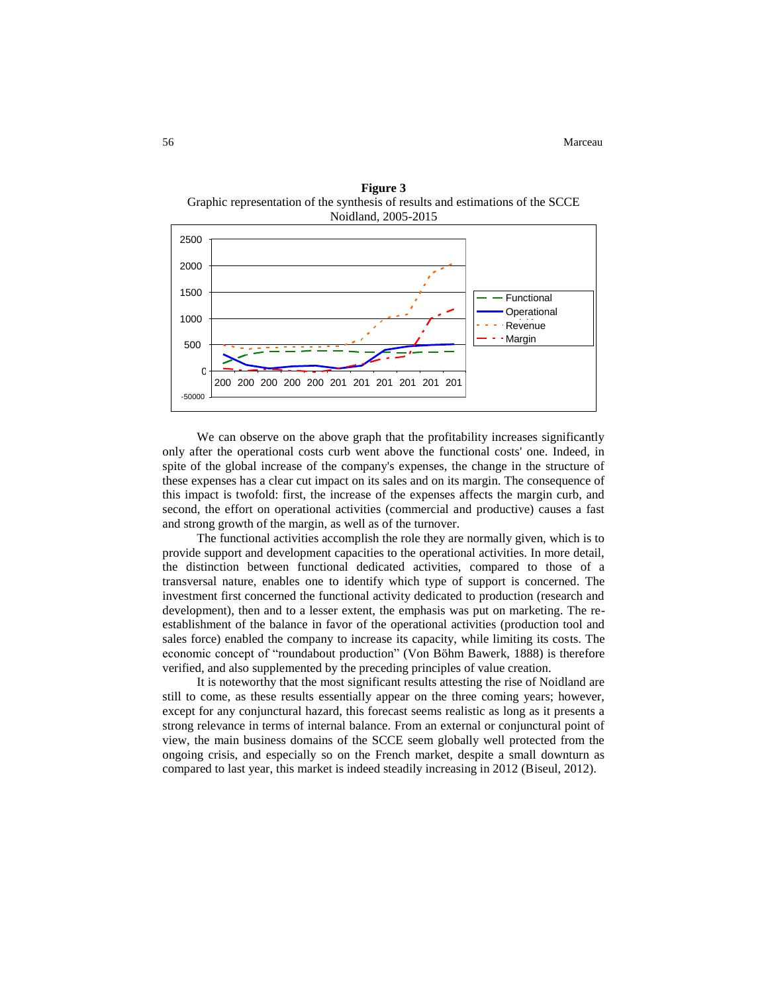

**Figure 3** Graphic representation of the synthesis of results and estimations of the SCCE

We can observe on the above graph that the profitability increases significantly only after the operational costs curb went above the functional costs' one. Indeed, in spite of the global increase of the company's expenses, the change in the structure of these expenses has a clear cut impact on its sales and on its margin. The consequence of this impact is twofold: first, the increase of the expenses affects the margin curb, and second, the effort on operational activities (commercial and productive) causes a fast and strong growth of the margin, as well as of the turnover.

The functional activities accomplish the role they are normally given, which is to provide support and development capacities to the operational activities. In more detail, the distinction between functional dedicated activities, compared to those of a transversal nature, enables one to identify which type of support is concerned. The investment first concerned the functional activity dedicated to production (research and development), then and to a lesser extent, the emphasis was put on marketing. The reestablishment of the balance in favor of the operational activities (production tool and sales force) enabled the company to increase its capacity, while limiting its costs. The economic concept of "roundabout production" (Von Bӧhm Bawerk, 1888) is therefore verified, and also supplemented by the preceding principles of value creation.

It is noteworthy that the most significant results attesting the rise of Noidland are still to come, as these results essentially appear on the three coming years; however, except for any conjunctural hazard, this forecast seems realistic as long as it presents a strong relevance in terms of internal balance. From an external or conjunctural point of view, the main business domains of the SCCE seem globally well protected from the ongoing crisis, and especially so on the French market, despite a small downturn as compared to last year, this market is indeed steadily increasing in 2012 (Biseul, 2012).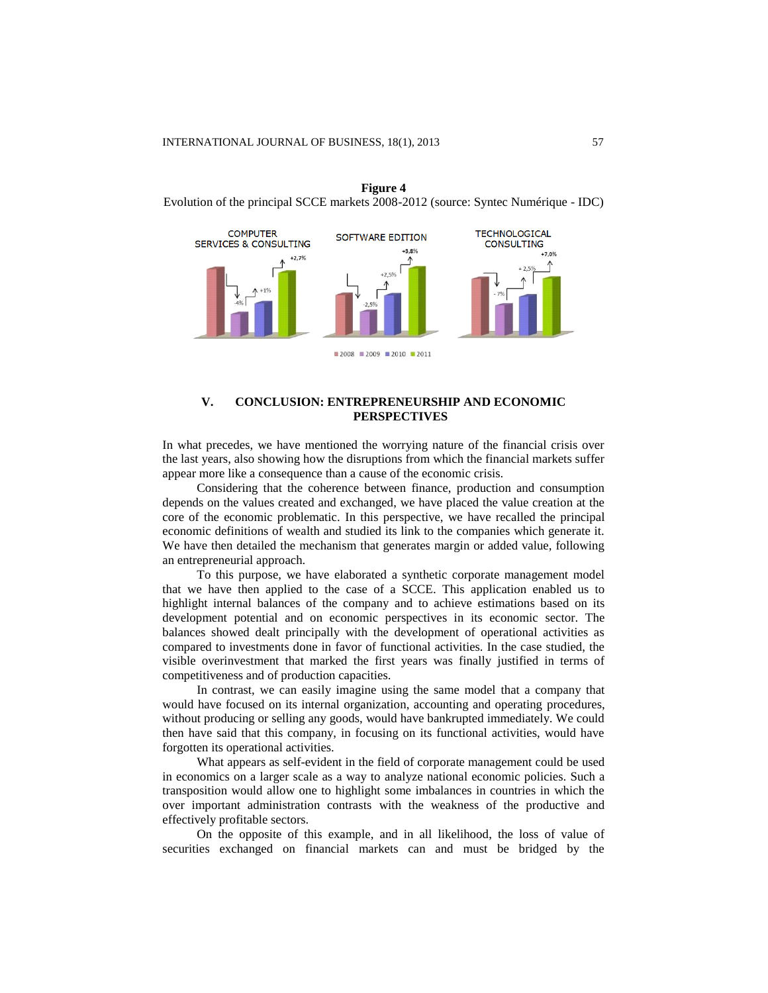

**Figure 4** Evolution of the principal SCCE markets 2008-2012 (source: Syntec Numérique - IDC)

# **V. CONCLUSION: ENTREPRENEURSHIP AND ECONOMIC PERSPECTIVES**

In what precedes, we have mentioned the worrying nature of the financial crisis over the last years, also showing how the disruptions from which the financial markets suffer appear more like a consequence than a cause of the economic crisis.

Considering that the coherence between finance, production and consumption depends on the values created and exchanged, we have placed the value creation at the core of the economic problematic. In this perspective, we have recalled the principal economic definitions of wealth and studied its link to the companies which generate it. We have then detailed the mechanism that generates margin or added value, following an entrepreneurial approach.

To this purpose, we have elaborated a synthetic corporate management model that we have then applied to the case of a SCCE. This application enabled us to highlight internal balances of the company and to achieve estimations based on its development potential and on economic perspectives in its economic sector. The balances showed dealt principally with the development of operational activities as compared to investments done in favor of functional activities. In the case studied, the visible overinvestment that marked the first years was finally justified in terms of competitiveness and of production capacities.

In contrast, we can easily imagine using the same model that a company that would have focused on its internal organization, accounting and operating procedures, without producing or selling any goods, would have bankrupted immediately. We could then have said that this company, in focusing on its functional activities, would have forgotten its operational activities.

What appears as self-evident in the field of corporate management could be used in economics on a larger scale as a way to analyze national economic policies. Such a transposition would allow one to highlight some imbalances in countries in which the over important administration contrasts with the weakness of the productive and effectively profitable sectors.

On the opposite of this example, and in all likelihood, the loss of value of securities exchanged on financial markets can and must be bridged by the